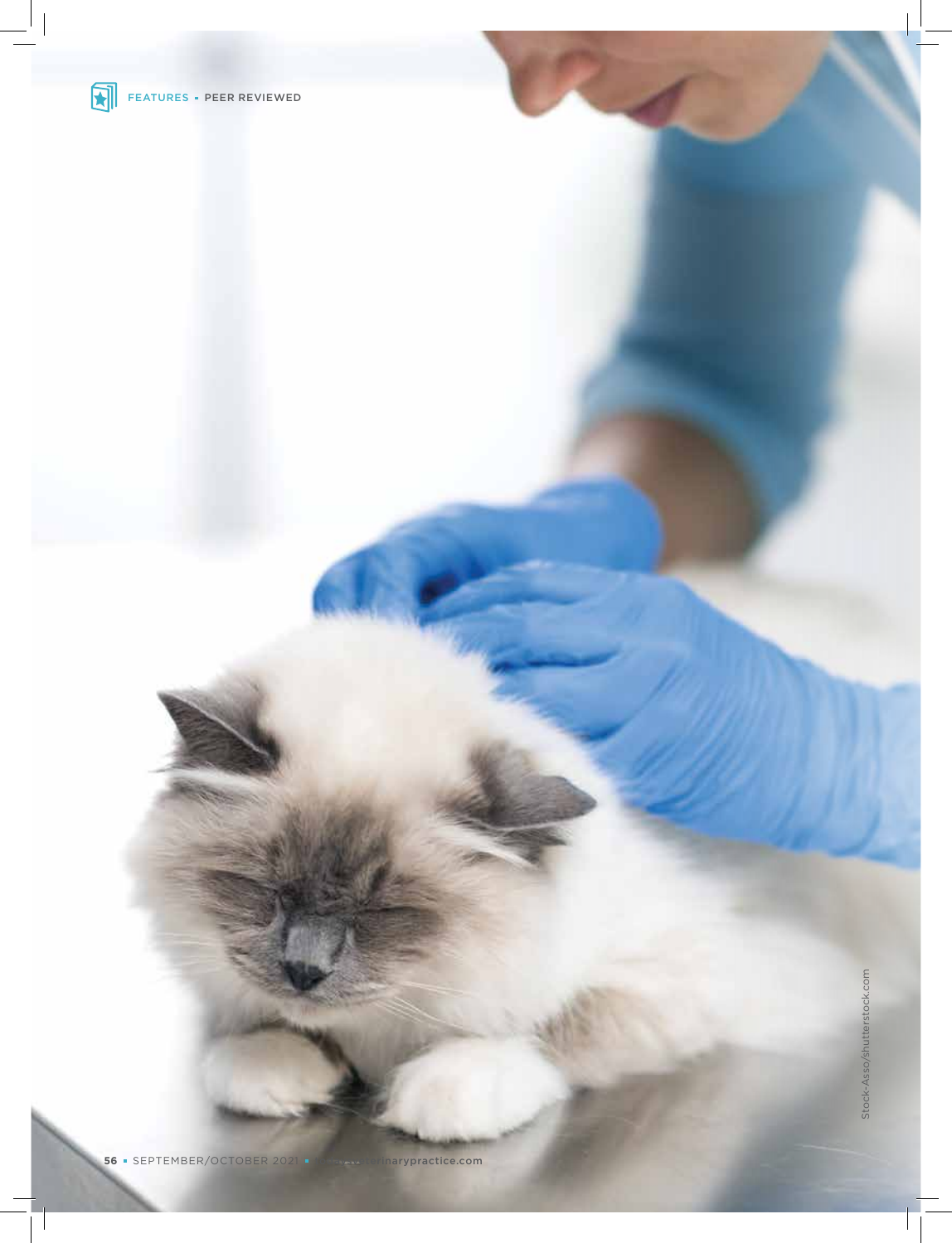

Stock-Asso/shutterstock.com Stock-Asso/shutterstock.com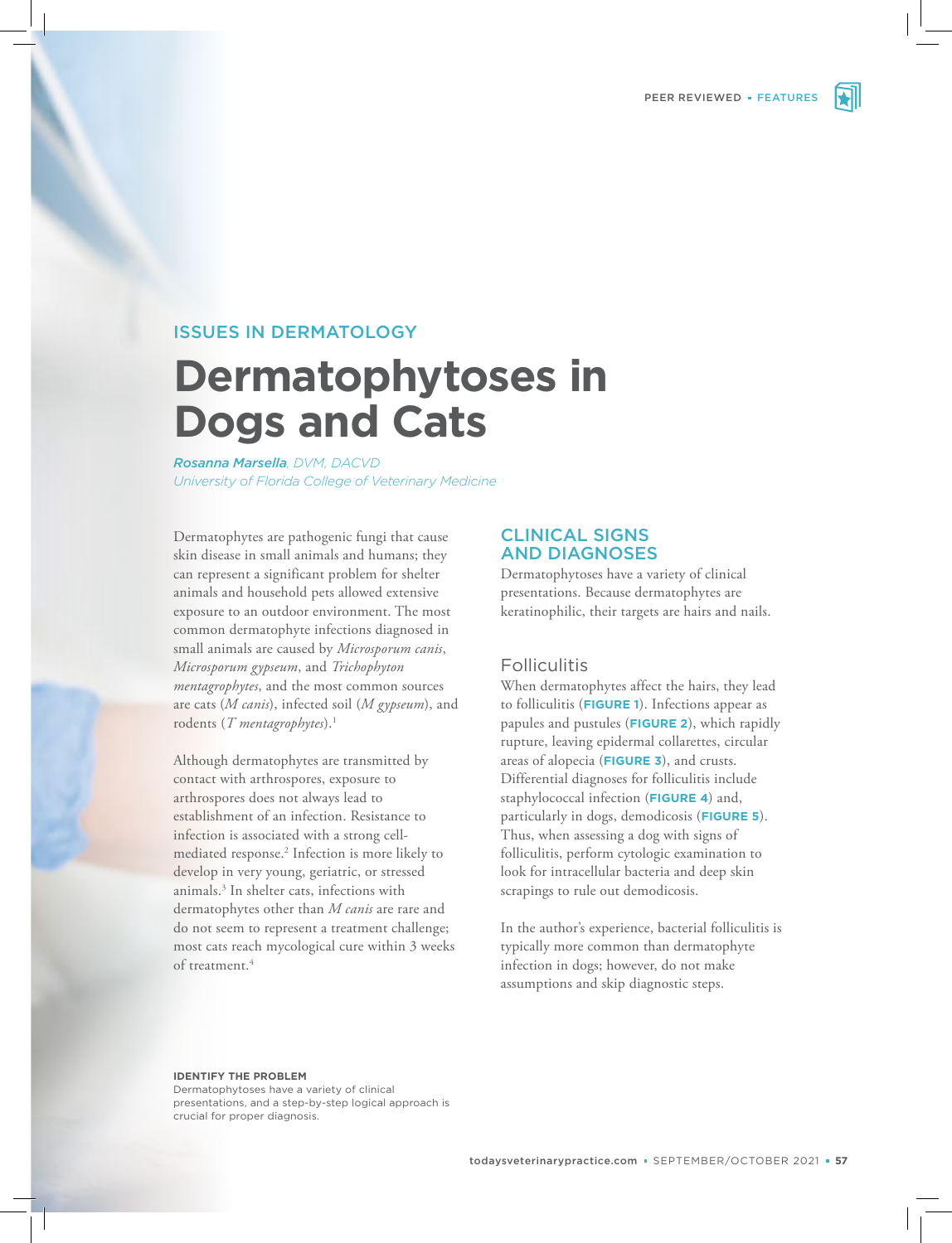

# ISSUES IN DERMATOLOGY

# **Dermatophytoses in Dogs and Cats**

*Rosanna Marsella, DVM, DACVD University of Florida College of Veterinary Medicine*

Dermatophytes are pathogenic fungi that cause skin disease in small animals and humans; they can represent a significant problem for shelter animals and household pets allowed extensive exposure to an outdoor environment. The most common dermatophyte infections diagnosed in small animals are caused by *Microsporum canis*, *Microsporum gypseum*, and *Trichophyton mentagrophytes*, and the most common sources are cats (*M canis*), infected soil (*M gypseum*), and rodents (*T mentagrophytes*).<sup>1</sup>

Although dermatophytes are transmitted by contact with arthrospores, exposure to arthrospores does not always lead to establishment of an infection. Resistance to infection is associated with a strong cellmediated response.<sup>2</sup> Infection is more likely to develop in very young, geriatric, or stressed animals.<sup>3</sup> In shelter cats, infections with dermatophytes other than *M canis* are rare and do not seem to represent a treatment challenge; most cats reach mycological cure within 3 weeks of treatment.<sup>4</sup>

# CLINICAL SIGNS AND DIAGNOSES

Dermatophytoses have a variety of clinical presentations. Because dermatophytes are keratinophilic, their targets are hairs and nails.

### **Folliculitis**

When dermatophytes affect the hairs, they lead to folliculitis (**FIGURE 1**). Infections appear as papules and pustules (**FIGURE 2**), which rapidly rupture, leaving epidermal collarettes, circular areas of alopecia (**FIGURE 3**), and crusts. Differential diagnoses for folliculitis include staphylococcal infection (**FIGURE 4**) and, particularly in dogs, demodicosis (**FIGURE 5**). Thus, when assessing a dog with signs of folliculitis, perform cytologic examination to look for intracellular bacteria and deep skin scrapings to rule out demodicosis.

In the author's experience, bacterial folliculitis is typically more common than dermatophyte infection in dogs; however, do not make assumptions and skip diagnostic steps.

#### **IDENTIFY THE PROBLEM**

Dermatophytoses have a variety of clinical presentations, and a step-by-step logical approach is crucial for proper diagnosis.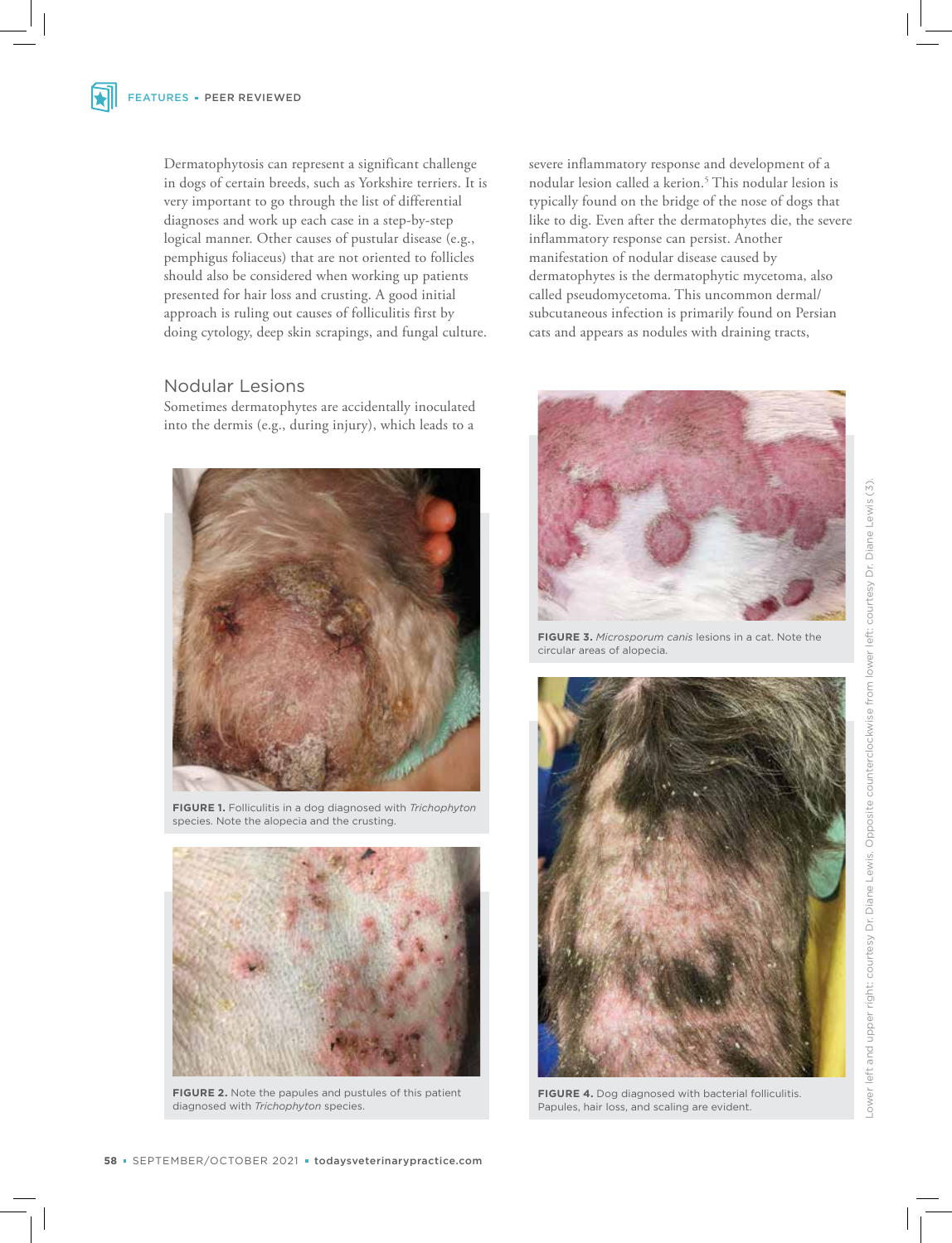Dermatophytosis can represent a significant challenge in dogs of certain breeds, such as Yorkshire terriers. It is very important to go through the list of differential diagnoses and work up each case in a step-by-step logical manner. Other causes of pustular disease (e.g., pemphigus foliaceus) that are not oriented to follicles should also be considered when working up patients presented for hair loss and crusting. A good initial approach is ruling out causes of folliculitis first by doing cytology, deep skin scrapings, and fungal culture.

# Nodular Lesions

Sometimes dermatophytes are accidentally inoculated into the dermis (e.g., during injury), which leads to a



**FIGURE 1.** Folliculitis in a dog diagnosed with *Trichophyton*  species. Note the alopecia and the crusting.



**FIGURE 2.** Note the papules and pustules of this patient diagnosed with *Trichophyton* species.

severe inflammatory response and development of a nodular lesion called a kerion.<sup>5</sup> This nodular lesion is typically found on the bridge of the nose of dogs that like to dig. Even after the dermatophytes die, the severe inflammatory response can persist. Another manifestation of nodular disease caused by dermatophytes is the dermatophytic mycetoma, also called pseudomycetoma. This uncommon dermal/ subcutaneous infection is primarily found on Persian cats and appears as nodules with draining tracts,



**FIGURE 3.** *Microsporum canis* lesions in a cat. Note the circular areas of alopecia.



**FIGURE 4.** Dog diagnosed with bacterial folliculitis. Papules, hair loss, and scaling are evident.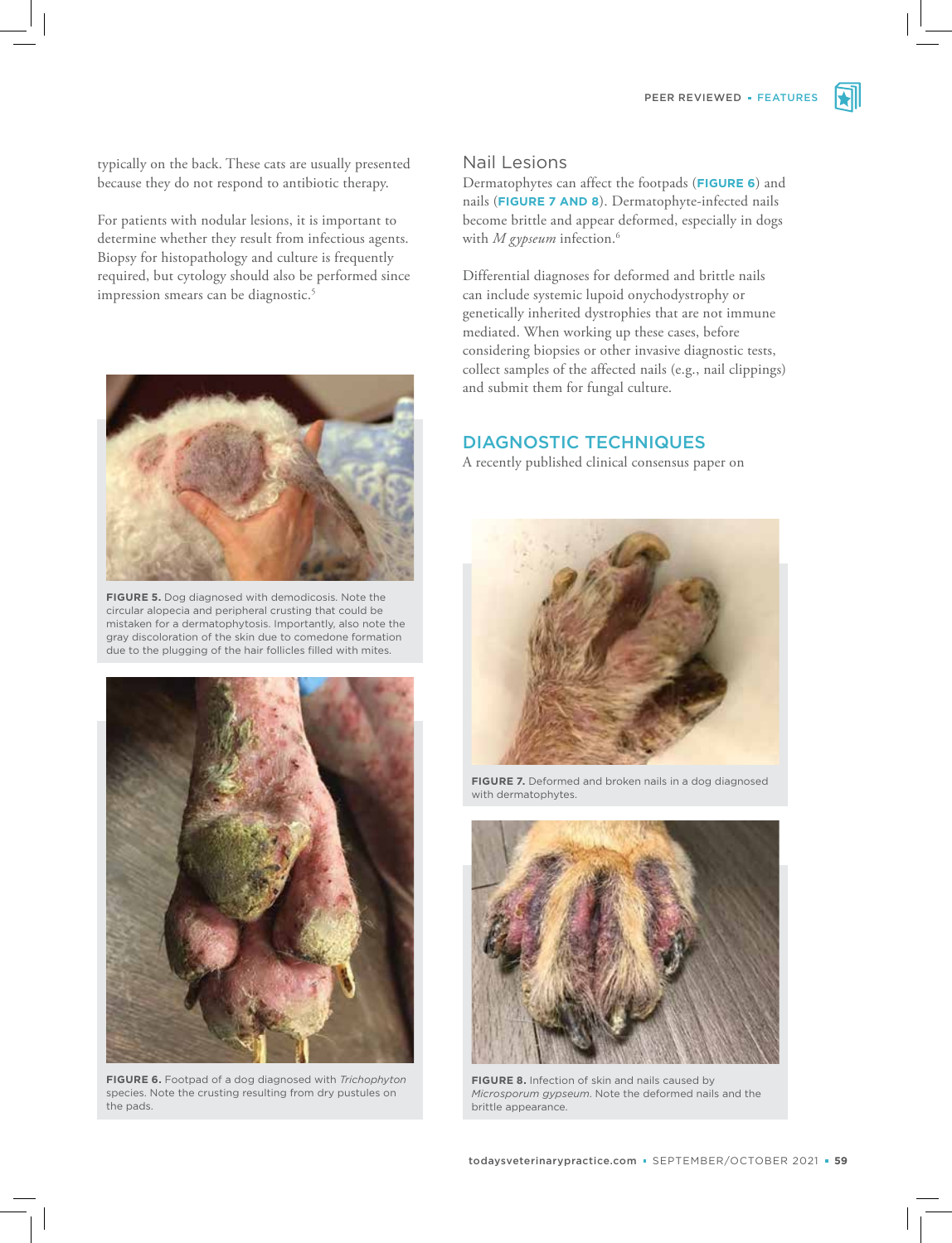typically on the back. These cats are usually presented because they do not respond to antibiotic therapy.

For patients with nodular lesions, it is important to determine whether they result from infectious agents. Biopsy for histopathology and culture is frequently required, but cytology should also be performed since impression smears can be diagnostic.<sup>5</sup>



**FIGURE 5.** Dog diagnosed with demodicosis. Note the circular alopecia and peripheral crusting that could be mistaken for a dermatophytosis. Importantly, also note the gray discoloration of the skin due to comedone formation due to the plugging of the hair follicles filled with mites.



**FIGURE 6.** Footpad of a dog diagnosed with *Trichophyton*  species. Note the crusting resulting from dry pustules on the pads.

# Nail Lesions

Dermatophytes can affect the footpads (**FIGURE 6**) and nails (**FIGURE 7 AND 8**). Dermatophyte-infected nails become brittle and appear deformed, especially in dogs with *M gypseum* infection.<sup>6</sup>

Differential diagnoses for deformed and brittle nails can include systemic lupoid onychodystrophy or genetically inherited dystrophies that are not immune mediated. When working up these cases, before considering biopsies or other invasive diagnostic tests, collect samples of the affected nails (e.g., nail clippings) and submit them for fungal culture.

# DIAGNOSTIC TECHNIQUES

A recently published clinical consensus paper on



**FIGURE 7.** Deformed and broken nails in a dog diagnosed with dermatophytes.



**FIGURE 8.** Infection of skin and nails caused by *Microsporum gypseum*. Note the deformed nails and the brittle appearance.

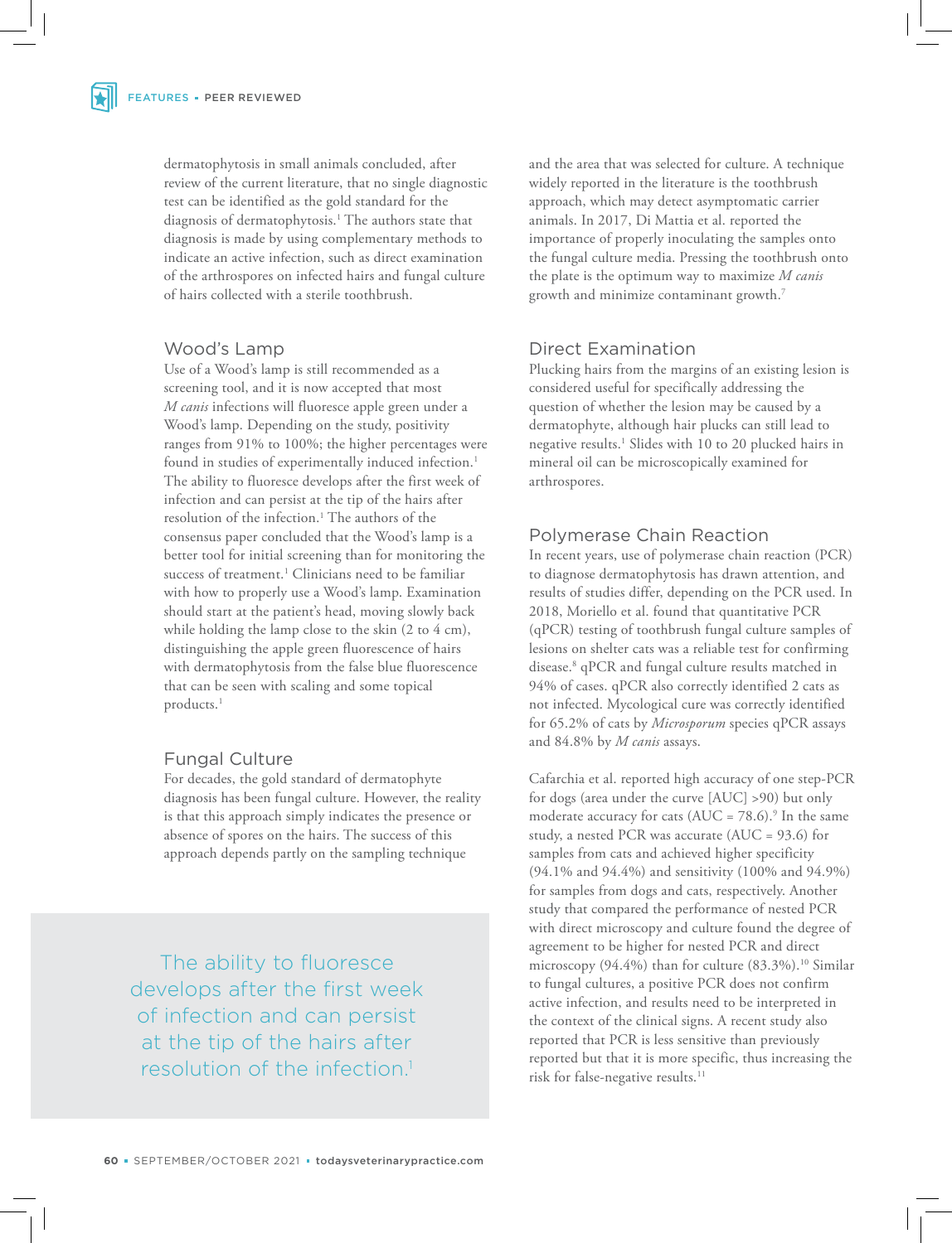dermatophytosis in small animals concluded, after review of the current literature, that no single diagnostic test can be identified as the gold standard for the diagnosis of dermatophytosis.<sup>1</sup> The authors state that diagnosis is made by using complementary methods to indicate an active infection, such as direct examination of the arthrospores on infected hairs and fungal culture of hairs collected with a sterile toothbrush.

### Wood's Lamp

Use of a Wood's lamp is still recommended as a screening tool, and it is now accepted that most *M canis* infections will fluoresce apple green under a Wood's lamp. Depending on the study, positivity ranges from 91% to 100%; the higher percentages were found in studies of experimentally induced infection.<sup>1</sup> The ability to fluoresce develops after the first week of infection and can persist at the tip of the hairs after resolution of the infection.<sup>1</sup> The authors of the consensus paper concluded that the Wood's lamp is a better tool for initial screening than for monitoring the success of treatment.<sup>1</sup> Clinicians need to be familiar with how to properly use a Wood's lamp. Examination should start at the patient's head, moving slowly back while holding the lamp close to the skin (2 to 4 cm), distinguishing the apple green fluorescence of hairs with dermatophytosis from the false blue fluorescence that can be seen with scaling and some topical products.<sup>1</sup>

# Fungal Culture

For decades, the gold standard of dermatophyte diagnosis has been fungal culture. However, the reality is that this approach simply indicates the presence or absence of spores on the hairs. The success of this approach depends partly on the sampling technique

The ability to fluoresce develops after the first week of infection and can persist at the tip of the hairs after resolution of the infection.<sup>1</sup>

and the area that was selected for culture. A technique widely reported in the literature is the toothbrush approach, which may detect asymptomatic carrier animals. In 2017, Di Mattia et al. reported the importance of properly inoculating the samples onto the fungal culture media. Pressing the toothbrush onto the plate is the optimum way to maximize *M canis*  growth and minimize contaminant growth.<sup>7</sup>

# Direct Examination

Plucking hairs from the margins of an existing lesion is considered useful for specifically addressing the question of whether the lesion may be caused by a dermatophyte, although hair plucks can still lead to negative results.<sup>1</sup> Slides with 10 to 20 plucked hairs in mineral oil can be microscopically examined for arthrospores.

# Polymerase Chain Reaction

In recent years, use of polymerase chain reaction (PCR) to diagnose dermatophytosis has drawn attention, and results of studies differ, depending on the PCR used. In 2018, Moriello et al. found that quantitative PCR (qPCR) testing of toothbrush fungal culture samples of lesions on shelter cats was a reliable test for confirming disease.<sup>8</sup> qPCR and fungal culture results matched in 94% of cases. qPCR also correctly identified 2 cats as not infected. Mycological cure was correctly identified for 65.2% of cats by *Microsporum* species qPCR assays and 84.8% by *M canis* assays.

Cafarchia et al. reported high accuracy of one step-PCR for dogs (area under the curve [AUC] >90) but only moderate accuracy for cats ( $AUC = 78.6$ ).<sup>9</sup> In the same study, a nested PCR was accurate (AUC = 93.6) for samples from cats and achieved higher specificity (94.1% and 94.4%) and sensitivity (100% and 94.9%) for samples from dogs and cats, respectively. Another study that compared the performance of nested PCR with direct microscopy and culture found the degree of agreement to be higher for nested PCR and direct microscopy  $(94.4\%)$  than for culture  $(83.3\%)$ .<sup>10</sup> Similar to fungal cultures, a positive PCR does not confirm active infection, and results need to be interpreted in the context of the clinical signs. A recent study also reported that PCR is less sensitive than previously reported but that it is more specific, thus increasing the risk for false-negative results.<sup>11</sup>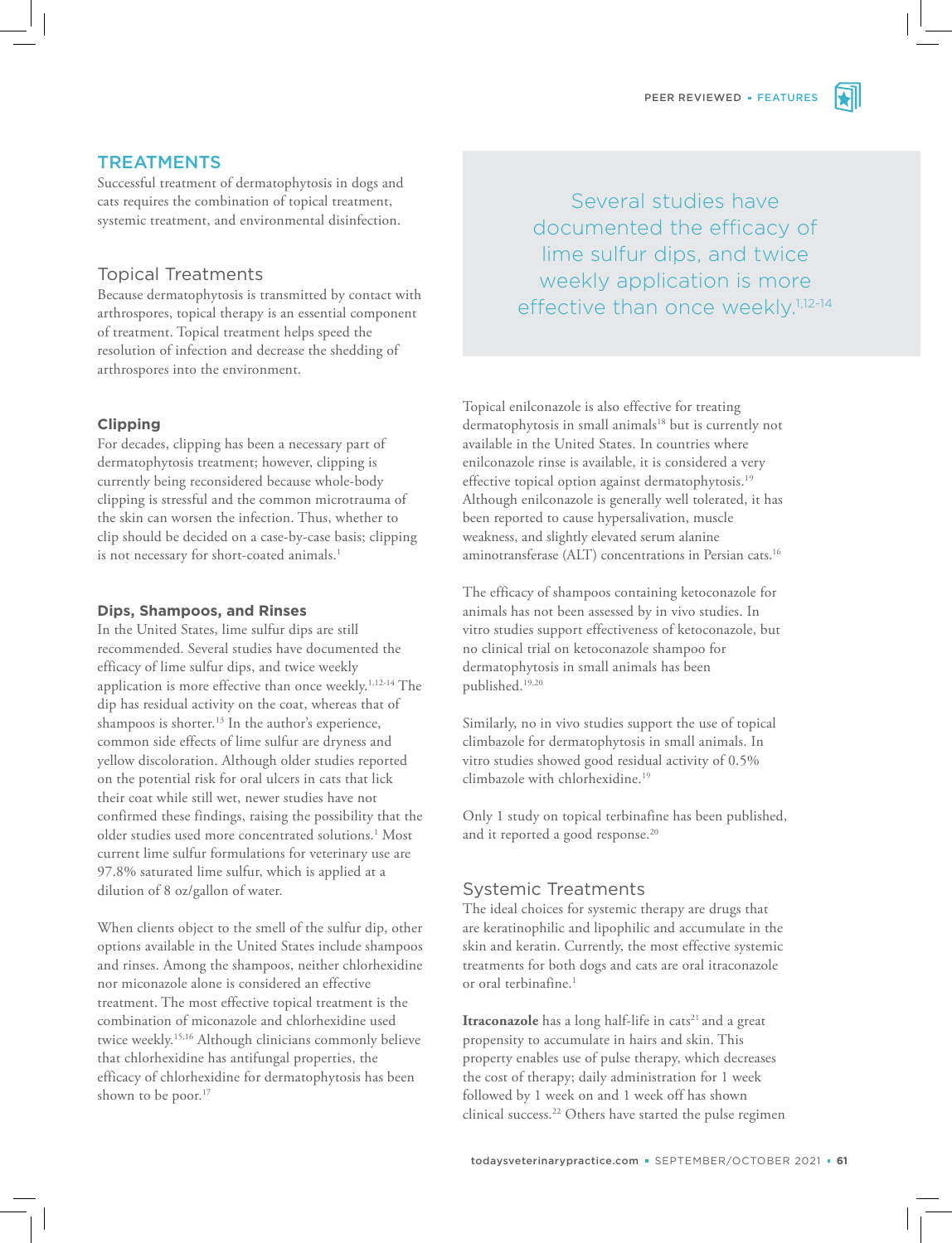

# **TREATMENTS**

Successful treatment of dermatophytosis in dogs and cats requires the combination of topical treatment, systemic treatment, and environmental disinfection.

# Topical Treatments

Because dermatophytosis is transmitted by contact with arthrospores, topical therapy is an essential component of treatment. Topical treatment helps speed the resolution of infection and decrease the shedding of arthrospores into the environment.

#### **Clipping**

For decades, clipping has been a necessary part of dermatophytosis treatment; however, clipping is currently being reconsidered because whole-body clipping is stressful and the common microtrauma of the skin can worsen the infection. Thus, whether to clip should be decided on a case-by-case basis; clipping is not necessary for short-coated animals.<sup>1</sup>

#### **Dips, Shampoos, and Rinses**

In the United States, lime sulfur dips are still recommended. Several studies have documented the efficacy of lime sulfur dips, and twice weekly application is more effective than once weekly.<sup>1,12-14</sup> The dip has residual activity on the coat, whereas that of shampoos is shorter.<sup>13</sup> In the author's experience, common side effects of lime sulfur are dryness and yellow discoloration. Although older studies reported on the potential risk for oral ulcers in cats that lick their coat while still wet, newer studies have not confirmed these findings, raising the possibility that the older studies used more concentrated solutions.<sup>1</sup> Most current lime sulfur formulations for veterinary use are 97.8% saturated lime sulfur, which is applied at a dilution of 8 oz/gallon of water.

When clients object to the smell of the sulfur dip, other options available in the United States include shampoos and rinses. Among the shampoos, neither chlorhexidine nor miconazole alone is considered an effective treatment. The most effective topical treatment is the combination of miconazole and chlorhexidine used twice weekly.15,16 Although clinicians commonly believe that chlorhexidine has antifungal properties, the efficacy of chlorhexidine for dermatophytosis has been shown to be poor.<sup>17</sup>

Several studies have documented the efficacy of lime sulfur dips, and twice weekly application is more effective than once weekly.<sup>1,12-14</sup>

Topical enilconazole is also effective for treating dermatophytosis in small animals<sup>18</sup> but is currently not available in the United States. In countries where enilconazole rinse is available, it is considered a very effective topical option against dermatophytosis.<sup>19</sup> Although enilconazole is generally well tolerated, it has been reported to cause hypersalivation, muscle weakness, and slightly elevated serum alanine aminotransferase (ALT) concentrations in Persian cats.<sup>16</sup>

The efficacy of shampoos containing ketoconazole for animals has not been assessed by in vivo studies. In vitro studies support effectiveness of ketoconazole, but no clinical trial on ketoconazole shampoo for dermatophytosis in small animals has been published.19,20

Similarly, no in vivo studies support the use of topical climbazole for dermatophytosis in small animals. In vitro studies showed good residual activity of 0.5% climbazole with chlorhexidine.<sup>19</sup>

Only 1 study on topical terbinafine has been published, and it reported a good response.<sup>20</sup>

# Systemic Treatments

The ideal choices for systemic therapy are drugs that are keratinophilic and lipophilic and accumulate in the skin and keratin. Currently, the most effective systemic treatments for both dogs and cats are oral itraconazole or oral terbinafine.<sup>1</sup>

**Itraconazole** has a long half-life in cats<sup>21</sup> and a great propensity to accumulate in hairs and skin. This property enables use of pulse therapy, which decreases the cost of therapy; daily administration for 1 week followed by 1 week on and 1 week off has shown clinical success.<sup>22</sup> Others have started the pulse regimen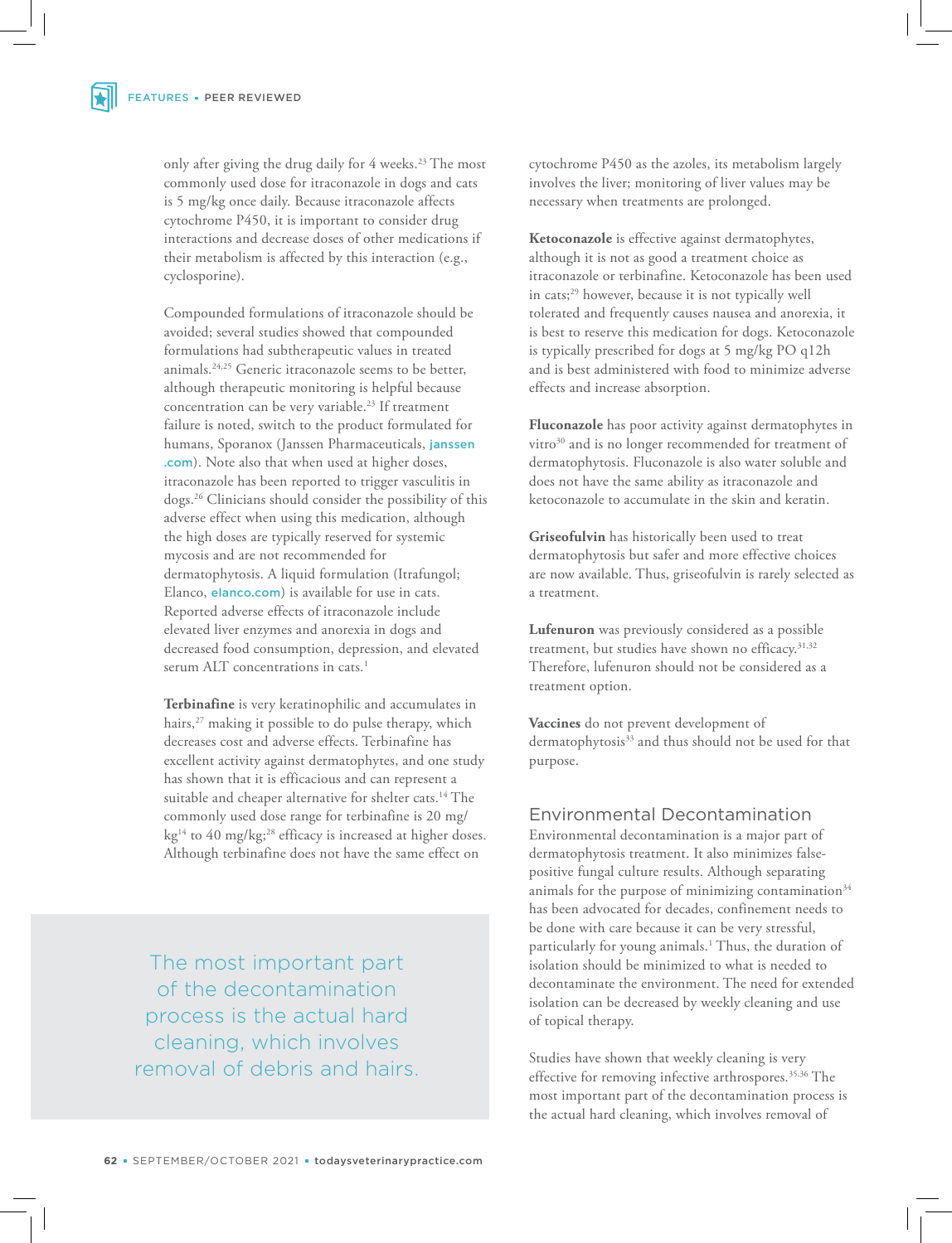only after giving the drug daily for 4 weeks.<sup>23</sup> The most commonly used dose for itraconazole in dogs and cats is 5 mg/kg once daily. Because itraconazole affects cytochrome P450, it is important to consider drug interactions and decrease doses of other medications if their metabolism is affected by this interaction (e.g., cyclosporine).

Compounded formulations of itraconazole should be avoided; several studies showed that compounded formulations had subtherapeutic values in treated animals.24,25 Generic itraconazole seems to be better, although therapeutic monitoring is helpful because concentration can be very variable.<sup>23</sup> If treatment failure is noted, switch to the product formulated for humans, Sporanox (Janssen Pharmaceuticals, janssen .com). Note also that when used at higher doses, itraconazole has been reported to trigger vasculitis in dogs.<sup>26</sup> Clinicians should consider the possibility of this adverse effect when using this medication, although the high doses are typically reserved for systemic mycosis and are not recommended for dermatophytosis. A liquid formulation (Itrafungol; Elanco, elanco.com) is available for use in cats. Reported adverse effects of itraconazole include elevated liver enzymes and anorexia in dogs and decreased food consumption, depression, and elevated serum ALT concentrations in cats.<sup>1</sup>

**Terbinafine** is very keratinophilic and accumulates in hairs,<sup>27</sup> making it possible to do pulse therapy, which decreases cost and adverse effects. Terbinafine has excellent activity against dermatophytes, and one study has shown that it is efficacious and can represent a suitable and cheaper alternative for shelter cats.<sup>14</sup> The commonly used dose range for terbinafine is 20 mg/ kg<sup>14</sup> to 40 mg/kg;<sup>28</sup> efficacy is increased at higher doses. Although terbinafine does not have the same effect on

The most important part of the decontamination process is the actual hard cleaning, which involves removal of debris and hairs. cytochrome P450 as the azoles, its metabolism largely involves the liver; monitoring of liver values may be necessary when treatments are prolonged.

**Ketoconazole** is effective against dermatophytes, although it is not as good a treatment choice as itraconazole or terbinafine. Ketoconazole has been used in cats;<sup>29</sup> however, because it is not typically well tolerated and frequently causes nausea and anorexia, it is best to reserve this medication for dogs. Ketoconazole is typically prescribed for dogs at 5 mg/kg PO q12h and is best administered with food to minimize adverse effects and increase absorption.

**Fluconazole** has poor activity against dermatophytes in vitro<sup>30</sup> and is no longer recommended for treatment of dermatophytosis. Fluconazole is also water soluble and does not have the same ability as itraconazole and ketoconazole to accumulate in the skin and keratin.

**Griseofulvin** has historically been used to treat dermatophytosis but safer and more effective choices are now available. Thus, griseofulvin is rarely selected as a treatment.

**Lufenuron** was previously considered as a possible treatment, but studies have shown no efficacy.<sup>31,32</sup> Therefore, lufenuron should not be considered as a treatment option.

**Vaccines** do not prevent development of dermatophytosis<sup>33</sup> and thus should not be used for that purpose.

# Environmental Decontamination

Environmental decontamination is a major part of dermatophytosis treatment. It also minimizes falsepositive fungal culture results. Although separating animals for the purpose of minimizing contamination<sup>34</sup> has been advocated for decades, confinement needs to be done with care because it can be very stressful, particularly for young animals.<sup>1</sup> Thus, the duration of isolation should be minimized to what is needed to decontaminate the environment. The need for extended isolation can be decreased by weekly cleaning and use of topical therapy.

Studies have shown that weekly cleaning is very effective for removing infective arthrospores.<sup>35,36</sup> The most important part of the decontamination process is the actual hard cleaning, which involves removal of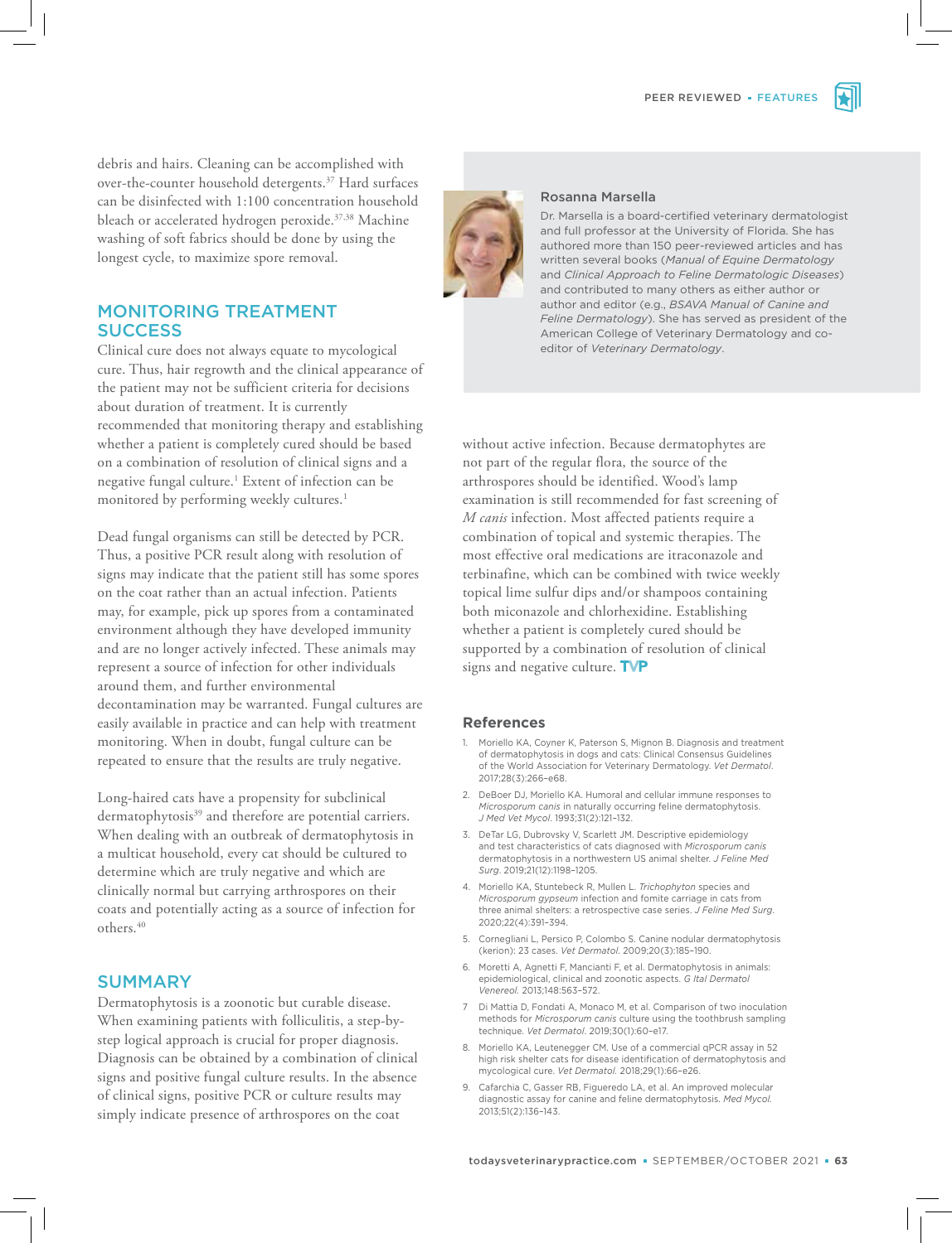debris and hairs. Cleaning can be accomplished with over-the-counter household detergents.<sup>37</sup> Hard surfaces can be disinfected with 1:100 concentration household bleach or accelerated hydrogen peroxide.<sup>37,38</sup> Machine washing of soft fabrics should be done by using the longest cycle, to maximize spore removal.

# MONITORING TREATMENT **SUCCESS**

Clinical cure does not always equate to mycological cure. Thus, hair regrowth and the clinical appearance of the patient may not be sufficient criteria for decisions about duration of treatment. It is currently recommended that monitoring therapy and establishing whether a patient is completely cured should be based on a combination of resolution of clinical signs and a negative fungal culture.<sup>1</sup> Extent of infection can be monitored by performing weekly cultures.<sup>1</sup>

Dead fungal organisms can still be detected by PCR. Thus, a positive PCR result along with resolution of signs may indicate that the patient still has some spores on the coat rather than an actual infection. Patients may, for example, pick up spores from a contaminated environment although they have developed immunity and are no longer actively infected. These animals may represent a source of infection for other individuals around them, and further environmental decontamination may be warranted. Fungal cultures are easily available in practice and can help with treatment monitoring. When in doubt, fungal culture can be repeated to ensure that the results are truly negative.

Long-haired cats have a propensity for subclinical dermatophytosis<sup>39</sup> and therefore are potential carriers. When dealing with an outbreak of dermatophytosis in a multicat household, every cat should be cultured to determine which are truly negative and which are clinically normal but carrying arthrospores on their coats and potentially acting as a source of infection for others.<sup>40</sup>

### SUMMARY

Dermatophytosis is a zoonotic but curable disease. When examining patients with folliculitis, a step-bystep logical approach is crucial for proper diagnosis. Diagnosis can be obtained by a combination of clinical signs and positive fungal culture results. In the absence of clinical signs, positive PCR or culture results may simply indicate presence of arthrospores on the coat

#### Rosanna Marsella

Dr. Marsella is a board-certified veterinary dermatologist and full professor at the University of Florida. She has authored more than 150 peer-reviewed articles and has written several books (*Manual of Equine Dermatology* and *Clinical Approach to Feline Dermatologic Diseases*) and contributed to many others as either author or author and editor (e.g., *BSAVA Manual of Canine and Feline Dermatology*). She has served as president of the American College of Veterinary Dermatology and coeditor of *Veterinary Dermatology*.

without active infection. Because dermatophytes are not part of the regular flora, the source of the arthrospores should be identified. Wood's lamp examination is still recommended for fast screening of *M canis* infection. Most affected patients require a combination of topical and systemic therapies. The most effective oral medications are itraconazole and terbinafine, which can be combined with twice weekly topical lime sulfur dips and/or shampoos containing both miconazole and chlorhexidine. Establishing whether a patient is completely cured should be supported by a combination of resolution of clinical signs and negative culture.  $\mathsf{TVP}$ 

#### **References**

- 1. Moriello KA, Coyner K, Paterson S, Mignon B. Diagnosis and treatment of dermatophytosis in dogs and cats: Clinical Consensus Guidelines of the World Association for Veterinary Dermatology. *Vet Dermatol*. 2017;28(3):266–e68.
- 2. DeBoer DJ, Moriello KA. Humoral and cellular immune responses to *Microsporum canis* in naturally occurring feline dermatophytosis. *J Med Vet Mycol*. 1993;31(2):121–132.
- 3. DeTar LG, Dubrovsky V, Scarlett JM. Descriptive epidemiology and test characteristics of cats diagnosed with *Microsporum canis* dermatophytosis in a northwestern US animal shelter. *J Feline Med Surg*. 2019;21(12):1198–1205.
- 4. Moriello KA, Stuntebeck R, Mullen L. *Trichophyton* species and *Microsporum gypseum* infection and fomite carriage in cats from three animal shelters: a retrospective case series. *J Feline Med Surg*. 2020;22(4):391–394.
- 5. Cornegliani L, Persico P, Colombo S. Canine nodular dermatophytosis (kerion): 23 cases. *Vet Dermatol*. 2009;20(3):185–190.
- 6. Moretti A, Agnetti F, Mancianti F, et al. Dermatophytosis in animals: epidemiological, clinical and zoonotic aspects. *G Ital Dermatol Venereol.* 2013;148:563–572.
- 7 Di Mattia D, Fondati A, Monaco M, et al. Comparison of two inoculation methods for *Microsporum canis* culture using the toothbrush sampling technique. *Vet Dermatol*. 2019;30(1):60–e17.
- 8. Moriello KA, Leutenegger CM. Use of a commercial qPCR assay in 52 high risk shelter cats for disease identification of dermatophytosis and mycological cure. *Vet Dermatol.* 2018;29(1):66–e26.
- 9. Cafarchia C, Gasser RB, Figueredo LA, et al. An improved molecular diagnostic assay for canine and feline dermatophytosis. *Med Mycol.* 2013;51(2):136–143.